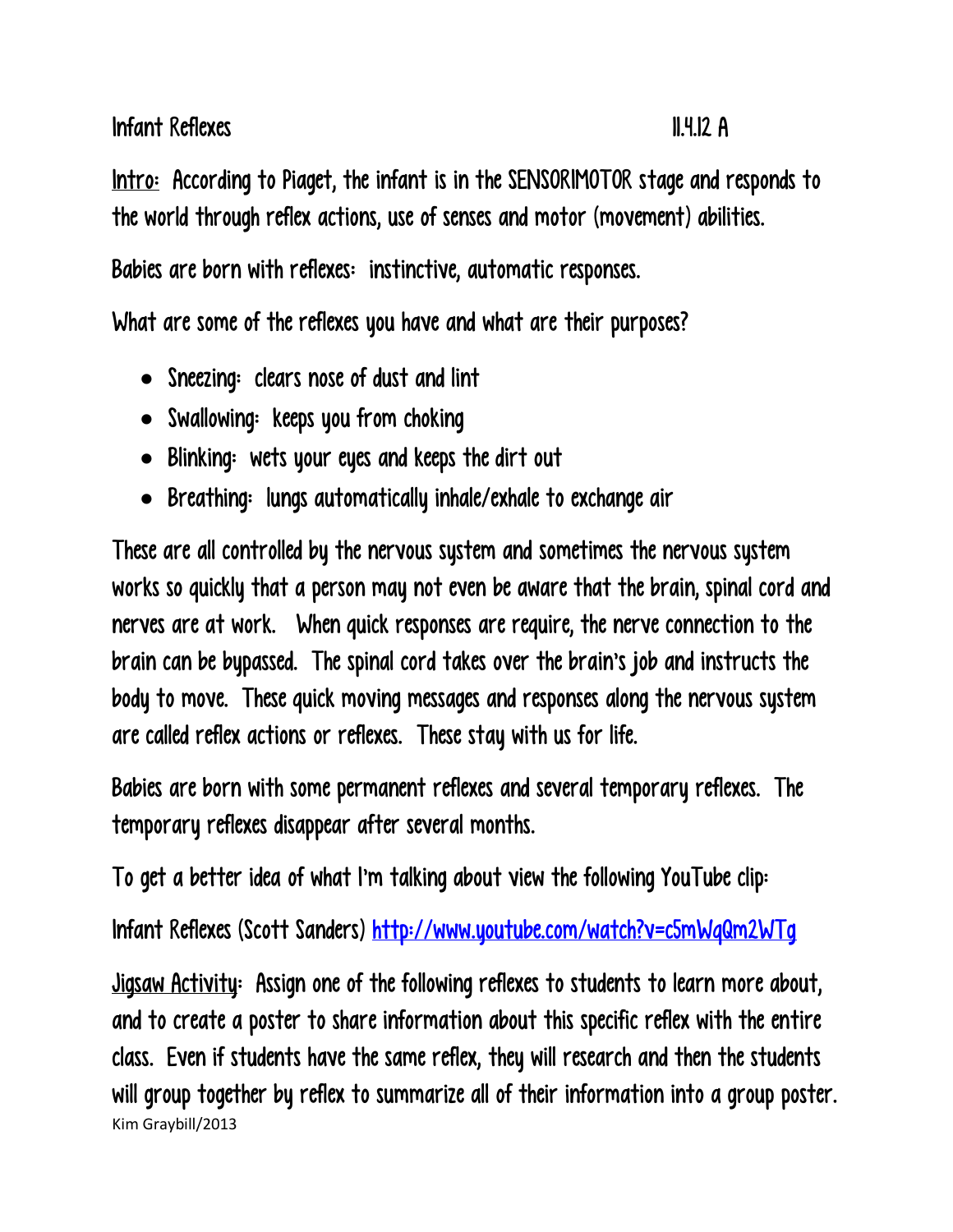Infant Reflexes 11.4.12 A

Intro: According to Piaget, the infant is in the SENSORIMOTOR stage and responds to the world through reflex actions, use of senses and motor (movement) abilities.

Babies are born with reflexes: instinctive, automatic responses.

What are some of the reflexes you have and what are their purposes?

- Sneezing: clears nose of dust and lint
- Swallowing: keeps you from choking
- Blinking: wets your eyes and keeps the dirt out
- Breathing: lungs automatically inhale/exhale to exchange air

These are all controlled by the nervous system and sometimes the nervous system works so quickly that a person may not even be aware that the brain, spinal cord and nerves are at work. When quick responses are require, the nerve connection to the brain can be bypassed. The spinal cord takes over the brain's job and instructs the body to move. These quick moving messages and responses along the nervous system are called reflex actions or reflexes. These stay with us for life.

Babies are born with some permanent reflexes and several temporary reflexes. The temporary reflexes disappear after several months.

To get a better idea of what I'm talking about view the following YouTube clip:

Infant Reflexes (Scott Sanders)<http://www.youtube.com/watch?v=c5mWqQm2WTg>

Kim Graybill/2013 Jigsaw Activity: Assign one of the following reflexes to students to learn more about, and to create a poster to share information about this specific reflex with the entire class. Even if students have the same reflex, they will research and then the students will group together by reflex to summarize all of their information into a group poster.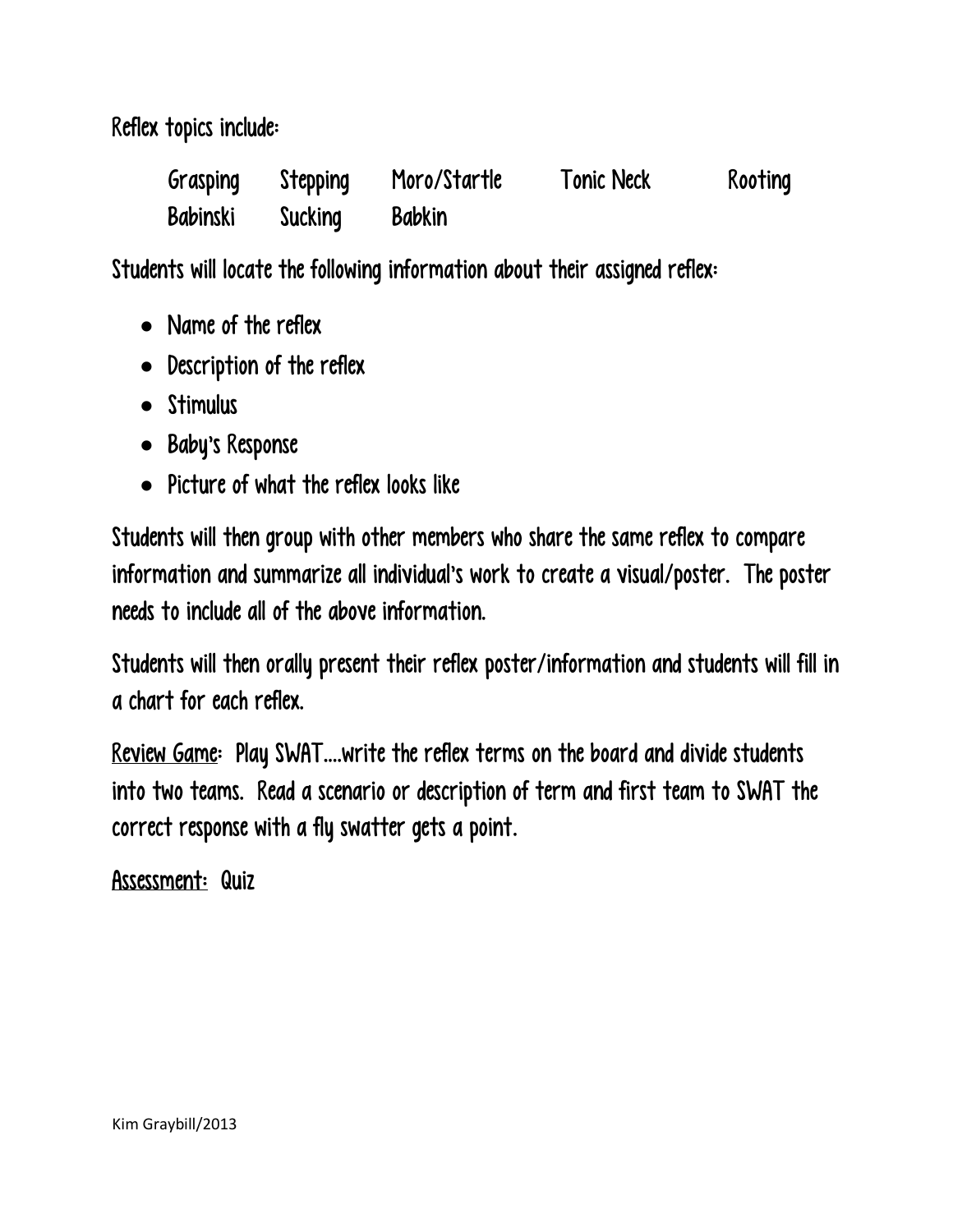Reflex topics include:

| Grasping        | Stepping | Moro/Startle  | <b>Tonic Neck</b> | Rooting |
|-----------------|----------|---------------|-------------------|---------|
| <b>Babinski</b> | Sucking  | <b>Babkin</b> |                   |         |

Students will locate the following information about their assigned reflex:

- Name of the reflex
- Description of the reflex
- Stimulus
- Baby's Response
- Picture of what the reflex looks like

Students will then group with other members who share the same reflex to compare information and summarize all individual's work to create a visual/poster. The poster needs to include all of the above information.

Students will then orally present their reflex poster/information and students will fill in a chart for each reflex.

Review Game: Play SWAT….write the reflex terms on the board and divide students into two teams. Read a scenario or description of term and first team to SWAT the correct response with a fly swatter gets a point.

Assessment: Quiz